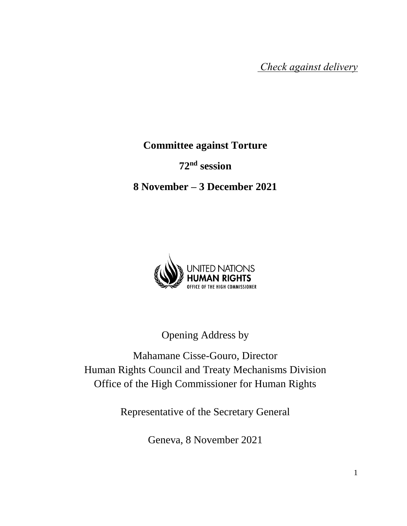*Check against delivery*

**Committee against Torture**

**72nd session**

**8 November – 3 December 2021**



Opening Address by

Mahamane Cisse-Gouro, Director Human Rights Council and Treaty Mechanisms Division Office of the High Commissioner for Human Rights

Representative of the Secretary General

Geneva, 8 November 2021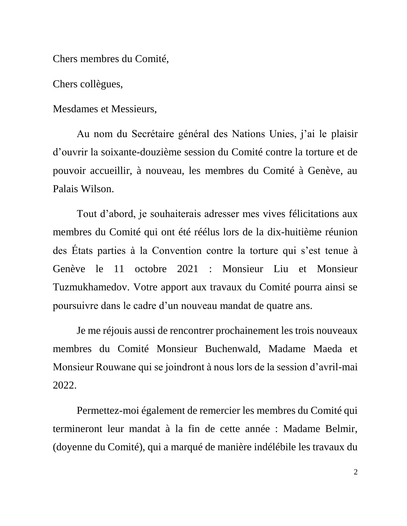Chers membres du Comité,

Chers collègues,

Mesdames et Messieurs,

Au nom du Secrétaire général des Nations Unies, j'ai le plaisir d'ouvrir la soixante-douzième session du Comité contre la torture et de pouvoir accueillir, à nouveau, les membres du Comité à Genève, au Palais Wilson.

Tout d'abord, je souhaiterais adresser mes vives félicitations aux membres du Comité qui ont été réélus lors de la dix-huitième réunion des États parties à la Convention contre la torture qui s'est tenue à Genève le 11 octobre 2021 : Monsieur Liu et Monsieur Tuzmukhamedov. Votre apport aux travaux du Comité pourra ainsi se poursuivre dans le cadre d'un nouveau mandat de quatre ans.

Je me réjouis aussi de rencontrer prochainement les trois nouveaux membres du Comité Monsieur Buchenwald, Madame Maeda et Monsieur Rouwane qui se joindront à nous lors de la session d'avril-mai 2022.

Permettez-moi également de remercier les membres du Comité qui termineront leur mandat à la fin de cette année : Madame Belmir, (doyenne du Comité), qui a marqué de manière indélébile les travaux du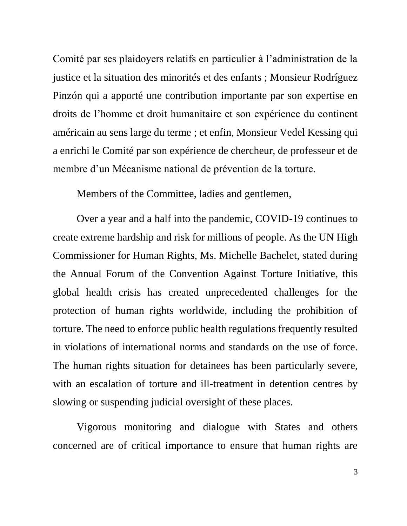Comité par ses plaidoyers relatifs en particulier à l'administration de la justice et la situation des minorités et des enfants ; Monsieur Rodríguez Pinzón qui a apporté une contribution importante par son expertise en droits de l'homme et droit humanitaire et son expérience du continent américain au sens large du terme ; et enfin, Monsieur Vedel Kessing qui a enrichi le Comité par son expérience de chercheur, de professeur et de membre d'un Mécanisme national de prévention de la torture.

Members of the Committee, ladies and gentlemen,

Over a year and a half into the pandemic, COVID-19 continues to create extreme hardship and risk for millions of people. As the UN High Commissioner for Human Rights, Ms. Michelle Bachelet, stated during the Annual Forum of the Convention Against Torture Initiative, this global health crisis has created unprecedented challenges for the protection of human rights worldwide, including the prohibition of torture. The need to enforce public health regulations frequently resulted in violations of international norms and standards on the use of force. The human rights situation for detainees has been particularly severe, with an escalation of torture and ill-treatment in detention centres by slowing or suspending judicial oversight of these places.

Vigorous monitoring and dialogue with States and others concerned are of critical importance to ensure that human rights are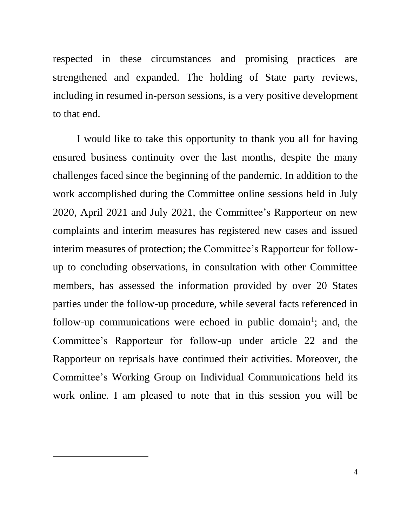respected in these circumstances and promising practices are strengthened and expanded. The holding of State party reviews, including in resumed in-person sessions, is a very positive development to that end.

I would like to take this opportunity to thank you all for having ensured business continuity over the last months, despite the many challenges faced since the beginning of the pandemic. In addition to the work accomplished during the Committee online sessions held in July 2020, April 2021 and July 2021, the Committee's Rapporteur on new complaints and interim measures has registered new cases and issued interim measures of protection; the Committee's Rapporteur for followup to concluding observations, in consultation with other Committee members, has assessed the information provided by over 20 States parties under the follow-up procedure, while several facts referenced in follow-up communications were echoed in public domain<sup>1</sup>; and, the Committee's Rapporteur for follow-up under article 22 and the Rapporteur on reprisals have continued their activities. Moreover, the Committee's Working Group on Individual Communications held its work online. I am pleased to note that in this session you will be

 $\overline{a}$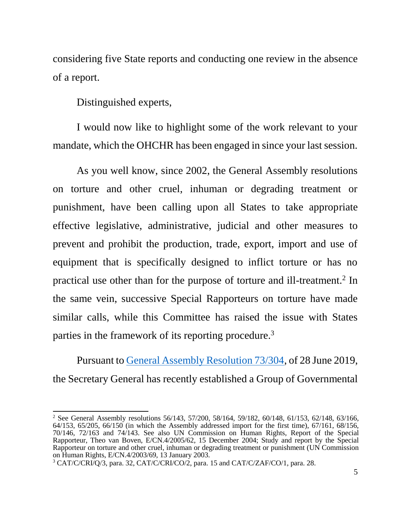considering five State reports and conducting one review in the absence of a report.

Distinguished experts,

I would now like to highlight some of the work relevant to your mandate, which the OHCHR has been engaged in since your last session.

As you well know, since 2002, the General Assembly resolutions on torture and other cruel, inhuman or degrading treatment or punishment, have been calling upon all States to take appropriate effective legislative, administrative, judicial and other measures to prevent and prohibit the production, trade, export, import and use of equipment that is specifically designed to inflict torture or has no practical use other than for the purpose of torture and ill-treatment.<sup>2</sup> In the same vein, successive Special Rapporteurs on torture have made similar calls, while this Committee has raised the issue with States parties in the framework of its reporting procedure.<sup>3</sup>

Pursuant to [General Assembly Resolution 73/304,](https://undocs.org/en/A/RES/73/304) of 28 June 2019, the Secretary General has recently established a Group of Governmental

 $\ddot{\phantom{a}}$ <sup>2</sup> See General Assembly resolutions 56/143, 57/200, 58/164, 59/182, 60/148, 61/153, 62/148, 63/166, 64/153, 65/205, 66/150 (in which the Assembly addressed import for the first time), 67/161, 68/156, 70/146, 72/163 and 74/143. See also UN Commission on Human Rights, Report of the Special Rapporteur, Theo van Boven, E/CN.4/2005/62, 15 December 2004; Study and report by the Special Rapporteur on torture and other cruel, inhuman or degrading treatment or punishment (UN Commission on Human Rights, E/CN.4/2003/69, 13 January 2003.

<sup>3</sup> CAT/C/CRI/Q/3, para. 32, CAT/C/CRI/CO/2, para. 15 and CAT/C/ZAF/CO/1, para. 28.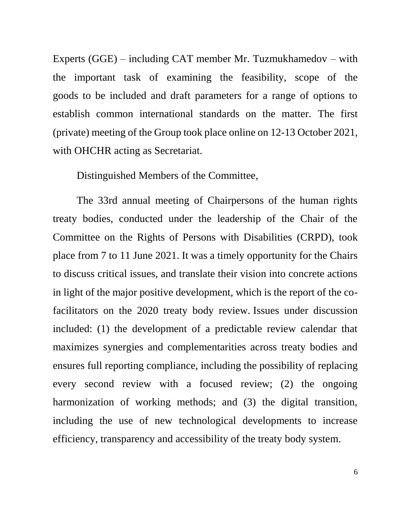Experts (GGE) – including CAT member Mr. Tuzmukhamedov – with the important task of examining the feasibility, scope of the goods to be included and draft parameters for a range of options to establish common international standards on the matter. The first (private) meeting of the Group took place online on 12-13 October 2021, with OHCHR acting as Secretariat.

Distinguished Members of the Committee,

The 33rd annual meeting of Chairpersons of the human rights treaty bodies, conducted under the leadership of the Chair of the Committee on the Rights of Persons with Disabilities (CRPD), took place from 7 to 11 June 2021. It was a timely opportunity for the Chairs to discuss critical issues, and translate their vision into concrete actions in light of the major positive development, which is the report of the cofacilitators on the 2020 treaty body review. Issues under discussion included: (1) the development of a predictable review calendar that maximizes synergies and complementarities across treaty bodies and ensures full reporting compliance, including the possibility of replacing every second review with a focused review; (2) the ongoing harmonization of working methods; and (3) the digital transition, including the use of new technological developments to increase efficiency, transparency and accessibility of the treaty body system.